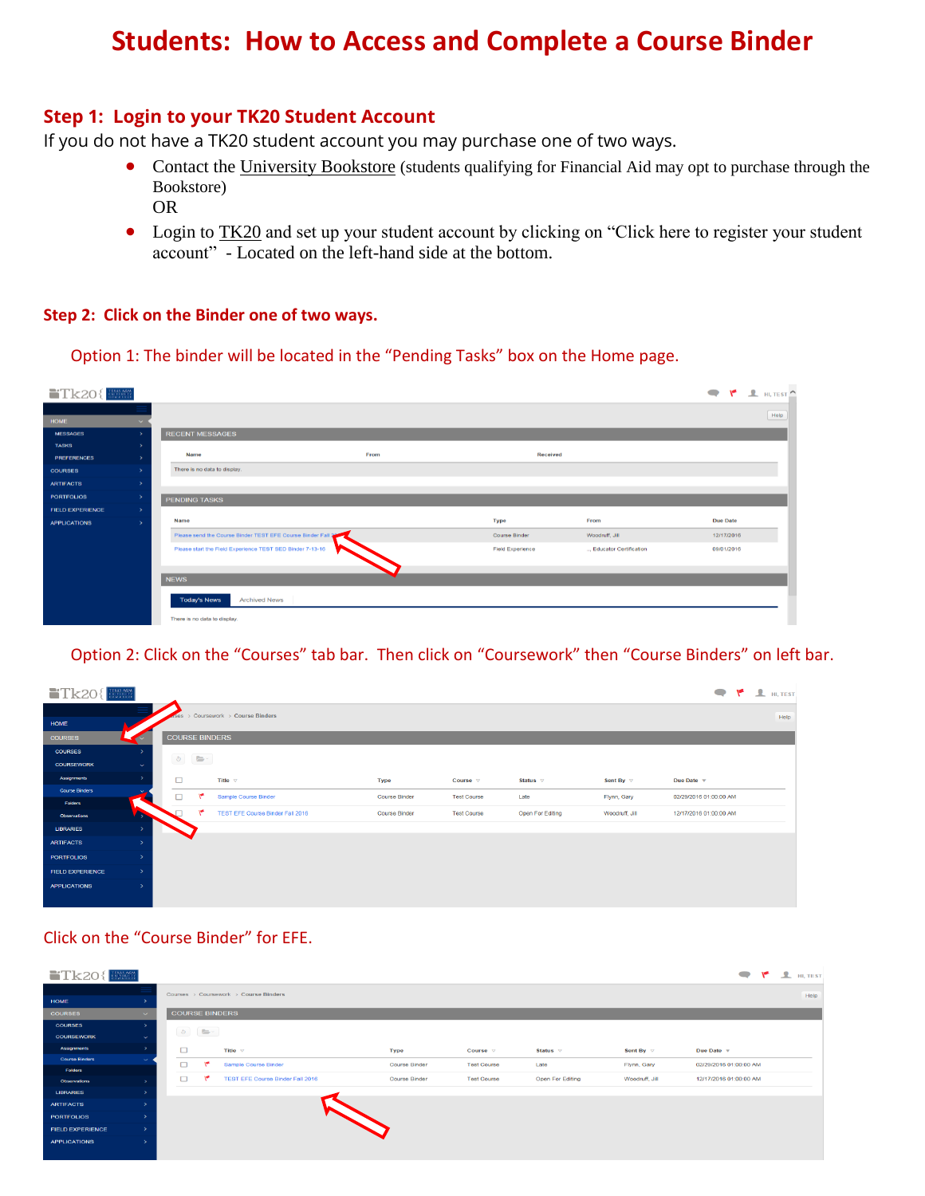# **Students: How to Access and Complete a Course Binder**

#### **Step 1: Login to your TK20 Student Account**

If you do not have a TK20 student account you may purchase one of two ways.

- Contact the University Bookstore (students qualifying for Financial Aid may opt to purchase through the Bookstore) OR
- Login to TK20 and set up your student account by clicking on "Click here to register your student account" - Located on the left-hand side at the bottom.

#### **Step 2: Click on the Binder one of two ways.**

Option 1: The binder will be located in the "Pending Tasks" box on the Home page.

| $\blacksquare$ Tk20{ $\blacksquare$ |               |                                                              |      |                         |                        |                 | $\overline{Y}$ $\overline{Y}$ $\overline{Y}$ $\overline{Y}$ $\overline{Y}$ |
|-------------------------------------|---------------|--------------------------------------------------------------|------|-------------------------|------------------------|-----------------|----------------------------------------------------------------------------|
|                                     |               |                                                              |      |                         |                        |                 | Help                                                                       |
| HOME                                |               |                                                              |      |                         |                        |                 |                                                                            |
| <b>MESSAGES</b>                     |               | <b>RECENT MESSAGES</b>                                       |      |                         |                        |                 |                                                                            |
| <b>TASKS</b>                        |               |                                                              |      |                         |                        |                 |                                                                            |
| <b>PREFERENCES</b>                  |               | <b>Name</b>                                                  | From | <b>Received</b>         |                        |                 |                                                                            |
| <b>COURSES</b>                      |               | There is no data to display.                                 |      |                         |                        |                 |                                                                            |
| <b>ARTIFACTS</b>                    |               |                                                              |      |                         |                        |                 |                                                                            |
| <b>PORTFOLIOS</b>                   |               | <b>PENDING TASKS</b>                                         |      |                         |                        |                 |                                                                            |
| <b>FIELD EXPERIENCE</b>             |               |                                                              |      |                         |                        |                 |                                                                            |
| <b>APPLICATIONS</b>                 | $\rightarrow$ | Name                                                         |      | <b>Type</b>             | From                   | <b>Due Date</b> |                                                                            |
|                                     |               | Please send the Course Binder TEST EFE Course Binder Fall 30 |      | <b>Course Binder</b>    | Woodruff, Jill         | 12/17/2016      |                                                                            |
|                                     |               | Please start the Field Experience TEST SED Binder 7-13-16    |      | <b>Field Experience</b> | Educator Certification | 09/01/2016      |                                                                            |
|                                     |               |                                                              |      |                         |                        |                 |                                                                            |
|                                     |               | <b>NEWS</b>                                                  |      |                         |                        |                 |                                                                            |
|                                     |               |                                                              |      |                         |                        |                 |                                                                            |
|                                     |               | <b>Today's News</b><br><b>Archived News</b>                  |      |                         |                        |                 |                                                                            |
|                                     |               | There is no data to display.                                 |      |                         |                        |                 |                                                                            |

#### Option 2: Click on the "Courses" tab bar. Then click on "Coursework" then "Course Binders" on left bar.

| $\begin{array}{ l } \hline \texttt{TEXAS AGM} \\ \hline \texttt{ESINIRUTI} \\ \hline \texttt{COMMRACI} \end{array}$<br>$Tk20$ { |                          |        |                       |                                  |                      |                    |                  |                         |                               | $\blacksquare$ $\blacksquare$ $\blacksquare$ $\blacksquare$ $\blacksquare$ $\blacksquare$ $\blacksquare$ $\blacksquare$ $\blacksquare$ $\blacksquare$ $\blacksquare$ $\blacksquare$ $\blacksquare$ $\blacksquare$ $\blacksquare$ $\blacksquare$ $\blacksquare$ $\blacksquare$ $\blacksquare$ $\blacksquare$ $\blacksquare$ $\blacksquare$ $\blacksquare$ $\blacksquare$ $\blacksquare$ $\blacksquare$ $\blacksquare$ $\blacksquare$ $\blacksquare$ $\blacksquare$ $\blacksquare$ $\blacks$ |
|---------------------------------------------------------------------------------------------------------------------------------|--------------------------|--------|-----------------------|----------------------------------|----------------------|--------------------|------------------|-------------------------|-------------------------------|--------------------------------------------------------------------------------------------------------------------------------------------------------------------------------------------------------------------------------------------------------------------------------------------------------------------------------------------------------------------------------------------------------------------------------------------------------------------------------------------|
| HOME                                                                                                                            |                          |        |                       | Coursework > Course Binders      |                      |                    |                  |                         |                               | Help                                                                                                                                                                                                                                                                                                                                                                                                                                                                                       |
| <b>COURSES</b>                                                                                                                  |                          |        | <b>COURSE BINDERS</b> |                                  |                      |                    |                  |                         |                               |                                                                                                                                                                                                                                                                                                                                                                                                                                                                                            |
| <b>COURSES</b>                                                                                                                  |                          |        |                       |                                  |                      |                    |                  |                         |                               |                                                                                                                                                                                                                                                                                                                                                                                                                                                                                            |
| <b>COURSEWORK</b>                                                                                                               | $\sim$                   |        |                       |                                  |                      |                    |                  |                         |                               |                                                                                                                                                                                                                                                                                                                                                                                                                                                                                            |
| Assignments                                                                                                                     |                          | $\Box$ |                       | Title $\nabla$                   | <b>Type</b>          | Course $\nabla$    | Status $\nabla$  | Sent By $\triangledown$ | Due Date $\blacktriangledown$ |                                                                                                                                                                                                                                                                                                                                                                                                                                                                                            |
| <b>Course Binders</b>                                                                                                           |                          | $\Box$ | ۴                     | Sample Course Binder             | <b>Course Binder</b> | <b>Test Course</b> | Late             | Flynn, Gary             | 02/29/2016 01:00:00 AM        |                                                                                                                                                                                                                                                                                                                                                                                                                                                                                            |
| Folders                                                                                                                         | <b>START OF BUILDING</b> |        | ۴                     | TEST EFE Course Binder Fall 2016 | Course Binder        | <b>Test Course</b> | Open For Editing | Woodruff, Jill          | 12/17/2016 01:00:00 AM        |                                                                                                                                                                                                                                                                                                                                                                                                                                                                                            |
| Observations                                                                                                                    |                          |        |                       |                                  |                      |                    |                  |                         |                               |                                                                                                                                                                                                                                                                                                                                                                                                                                                                                            |
| <b>LIBRARIES</b>                                                                                                                |                          |        |                       |                                  |                      |                    |                  |                         |                               |                                                                                                                                                                                                                                                                                                                                                                                                                                                                                            |
| <b>ARTIFACTS</b>                                                                                                                | -8                       |        |                       |                                  |                      |                    |                  |                         |                               |                                                                                                                                                                                                                                                                                                                                                                                                                                                                                            |
| <b>PORTFOLIOS</b>                                                                                                               | $\rightarrow$            |        |                       |                                  |                      |                    |                  |                         |                               |                                                                                                                                                                                                                                                                                                                                                                                                                                                                                            |
| <b>FIELD EXPERIENCE</b>                                                                                                         | -5                       |        |                       |                                  |                      |                    |                  |                         |                               |                                                                                                                                                                                                                                                                                                                                                                                                                                                                                            |
| <b>APPLICATIONS</b>                                                                                                             | -8                       |        |                       |                                  |                      |                    |                  |                         |                               |                                                                                                                                                                                                                                                                                                                                                                                                                                                                                            |

#### Click on the "Course Binder" for EFE.

| $Tk20$ $\left\lfloor \frac{m}{2} \right\rfloor$ |              |        |                                                                                                                                                                                                                                                                                                                                                     |                                         |                      |                    |                  |                      |                        | $\blacksquare$ $\blacksquare$ $\blacksquare$ $\blacksquare$ $\blacksquare$ $\blacksquare$ $\blacksquare$ $\blacksquare$ |
|-------------------------------------------------|--------------|--------|-----------------------------------------------------------------------------------------------------------------------------------------------------------------------------------------------------------------------------------------------------------------------------------------------------------------------------------------------------|-----------------------------------------|----------------------|--------------------|------------------|----------------------|------------------------|-------------------------------------------------------------------------------------------------------------------------|
|                                                 |              |        |                                                                                                                                                                                                                                                                                                                                                     | Courses > Coursework > Course Binders   |                      |                    |                  |                      |                        | Help                                                                                                                    |
| HOME                                            |              |        |                                                                                                                                                                                                                                                                                                                                                     |                                         |                      |                    |                  |                      |                        |                                                                                                                         |
| <b>COURSES</b>                                  | $\sim$       |        | <b>COURSE BINDERS</b>                                                                                                                                                                                                                                                                                                                               |                                         |                      |                    |                  |                      |                        |                                                                                                                         |
| <b>COURSES</b>                                  |              |        |                                                                                                                                                                                                                                                                                                                                                     |                                         |                      |                    |                  |                      |                        |                                                                                                                         |
| <b>COURSEWORK</b>                               | $\checkmark$ |        | $\begin{picture}(130,10) \put(0,0){\line(1,0){10}} \put(15,0){\line(1,0){10}} \put(15,0){\line(1,0){10}} \put(15,0){\line(1,0){10}} \put(15,0){\line(1,0){10}} \put(15,0){\line(1,0){10}} \put(15,0){\line(1,0){10}} \put(15,0){\line(1,0){10}} \put(15,0){\line(1,0){10}} \put(15,0){\line(1,0){10}} \put(15,0){\line(1,0){10}} \put(15,0){\line($ |                                         |                      |                    |                  |                      |                        |                                                                                                                         |
| <b>Assignments</b>                              |              | $\Box$ |                                                                                                                                                                                                                                                                                                                                                     | Title $\nabla$                          | <b>Type</b>          | Course $\nabla$    | Status $\nabla$  | Sent By $\heartsuit$ | Due Date v             |                                                                                                                         |
| <b>Course Binders</b>                           |              | $\Box$ | ۱۳                                                                                                                                                                                                                                                                                                                                                  | Sample Course Binder                    | <b>Course Binder</b> | <b>Test Course</b> | Late             | Flynn, Gary          | 02/29/2016 01:00:00 AM |                                                                                                                         |
| Folders                                         |              | $\Box$ | $\sqrt{2}$                                                                                                                                                                                                                                                                                                                                          | <b>TEST EFE Course Binder Fall 2016</b> | <b>Course Binder</b> | <b>Test Course</b> | Open For Editing | Woodruff, Jill       | 12/17/2016 01:00:00 AM |                                                                                                                         |
| <b>Observations</b>                             |              |        |                                                                                                                                                                                                                                                                                                                                                     |                                         |                      |                    |                  |                      |                        |                                                                                                                         |
| <b>LIBRARIES</b>                                |              |        |                                                                                                                                                                                                                                                                                                                                                     |                                         |                      |                    |                  |                      |                        |                                                                                                                         |
| <b>ARTIFACTS</b>                                |              |        |                                                                                                                                                                                                                                                                                                                                                     |                                         |                      |                    |                  |                      |                        |                                                                                                                         |
| <b>PORTFOLIOS</b>                               |              |        |                                                                                                                                                                                                                                                                                                                                                     |                                         |                      |                    |                  |                      |                        |                                                                                                                         |
| <b>FIELD EXPERIENCE</b>                         |              |        |                                                                                                                                                                                                                                                                                                                                                     |                                         |                      |                    |                  |                      |                        |                                                                                                                         |
| <b>APPLICATIONS</b>                             |              |        |                                                                                                                                                                                                                                                                                                                                                     |                                         |                      |                    |                  |                      |                        |                                                                                                                         |
|                                                 |              |        |                                                                                                                                                                                                                                                                                                                                                     |                                         |                      |                    |                  |                      |                        |                                                                                                                         |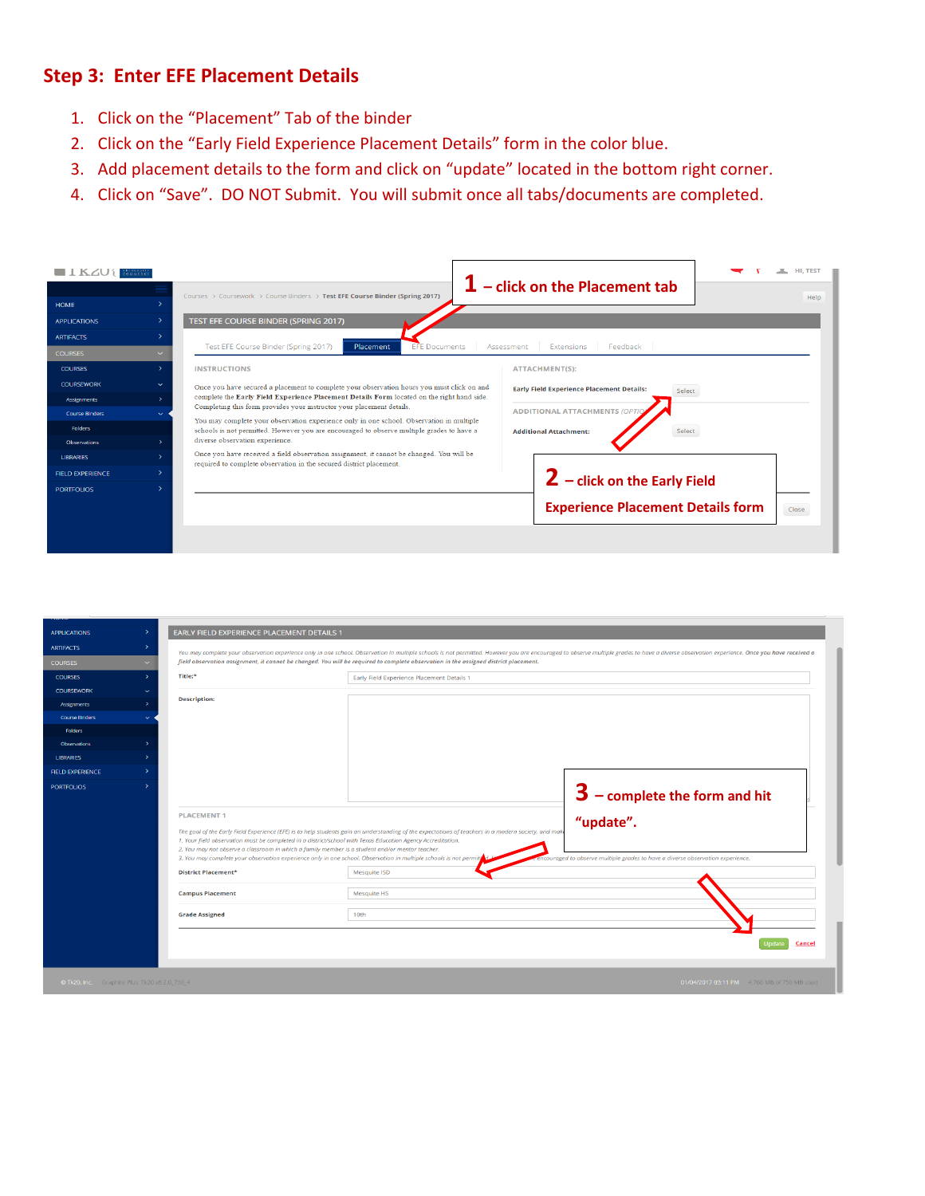# **Step 3: Enter EFE Placement Details**

- 1. Click on the "Placement" Tab of the binder
- 2. Click on the "Early Field Experience Placement Details" form in the color blue.
- 3. Add placement details to the form and click on "update" located in the bottom right corner.
- 4. Click on "Save". DO NOT Submit. You will submit once all tabs/documents are completed.

| IKIVEKSIT<br>COMMILE<br><b>HOME</b><br><b>APPLICATIONS</b>                                                                                 | Courses > Coursework > Course Binders > Test EFE Course Binder (Spring 2017)<br>TEST EFE COURSE BINDER (SPRING 2017)                                                                                                                                                                                                                                                                                                                                                                                                                                                                                                                                             | ${\bf 1}$ – click on the Placement tab<br>Help                                                                                                                                |
|--------------------------------------------------------------------------------------------------------------------------------------------|------------------------------------------------------------------------------------------------------------------------------------------------------------------------------------------------------------------------------------------------------------------------------------------------------------------------------------------------------------------------------------------------------------------------------------------------------------------------------------------------------------------------------------------------------------------------------------------------------------------------------------------------------------------|-------------------------------------------------------------------------------------------------------------------------------------------------------------------------------|
| <b>ARTIFACTS</b><br><b>COURSES</b>                                                                                                         | Test EFE Course Binder (Spring 2017)<br>Placement<br><b>EFE</b> Documents                                                                                                                                                                                                                                                                                                                                                                                                                                                                                                                                                                                        | Feedback<br>Extensions<br>Assessment                                                                                                                                          |
| <b>COURSES</b>                                                                                                                             | <b>INSTRUCTIONS</b>                                                                                                                                                                                                                                                                                                                                                                                                                                                                                                                                                                                                                                              | <b>ATTACHMENT(S):</b>                                                                                                                                                         |
| <b>COURSEWORK</b><br>Assignments<br><b>Course Binders</b><br><b>Folders</b><br>Observations<br><b>LIBRARIES</b><br><b>FIELD EXPERIENCE</b> | Once you have secured a placement to complete your observation hours you must click on and<br>complete the Early Field Experience Placement Details Form located on the right hand side.<br>Completing this form provides your instructor your placement details.<br>You may complete your observation experience only in one school. Observation in multiple<br>schools is not permitted. However you are encouraged to observe multiple grades to have a<br>diverse observation experience.<br>Once you have received a field observation assignment, it cannot be changed. You will be<br>required to complete observation in the secured district placement. | <b>Early Field Experience Placement Details:</b><br>Select<br><b>ADDITIONAL ATTACHMENTS (OPT</b><br><b>Additional Attachment:</b><br>Select<br>$2$ – click on the Early Field |
| <b>PORTFOLIOS</b>                                                                                                                          |                                                                                                                                                                                                                                                                                                                                                                                                                                                                                                                                                                                                                                                                  | <b>Experience Placement Details form</b><br>Close                                                                                                                             |

| <b>APPLICATIONS</b>                                  |    | <b>EARLY FIELD EXPERIENCE PLACEMENT DETAILS 1</b>                                                                                                                                                                                                                                                                                                                                                                                           |                                                                                                                                                                                                                                                                                                                              |
|------------------------------------------------------|----|---------------------------------------------------------------------------------------------------------------------------------------------------------------------------------------------------------------------------------------------------------------------------------------------------------------------------------------------------------------------------------------------------------------------------------------------|------------------------------------------------------------------------------------------------------------------------------------------------------------------------------------------------------------------------------------------------------------------------------------------------------------------------------|
| <b>ARTIFACTS</b>                                     | ۰, |                                                                                                                                                                                                                                                                                                                                                                                                                                             | You may complete your observation experience only in one school. Observation in multiple schools is not permitted. However you are encouraged to observe multiple grades to have a diverse observation experience. Once you ha                                                                                               |
| <b>COURSES</b>                                       |    |                                                                                                                                                                                                                                                                                                                                                                                                                                             | field observation assignment, it cannot be changed. You will be required to complete observation in the assigned district placement.                                                                                                                                                                                         |
| <b>COURSES</b>                                       | ۰, | Title:*                                                                                                                                                                                                                                                                                                                                                                                                                                     | Early Field Experience Placement Details 1                                                                                                                                                                                                                                                                                   |
| <b>COURSEWORK</b>                                    |    |                                                                                                                                                                                                                                                                                                                                                                                                                                             |                                                                                                                                                                                                                                                                                                                              |
| Assignments                                          |    | <b>Description:</b>                                                                                                                                                                                                                                                                                                                                                                                                                         |                                                                                                                                                                                                                                                                                                                              |
| <b>Course Binders</b>                                |    |                                                                                                                                                                                                                                                                                                                                                                                                                                             |                                                                                                                                                                                                                                                                                                                              |
| <b>Folders</b>                                       |    |                                                                                                                                                                                                                                                                                                                                                                                                                                             |                                                                                                                                                                                                                                                                                                                              |
| <b>Observations</b>                                  |    |                                                                                                                                                                                                                                                                                                                                                                                                                                             |                                                                                                                                                                                                                                                                                                                              |
| <b>LIBRARIES</b>                                     |    |                                                                                                                                                                                                                                                                                                                                                                                                                                             |                                                                                                                                                                                                                                                                                                                              |
| <b>FIELD EXPERIENCE</b>                              | ۰, |                                                                                                                                                                                                                                                                                                                                                                                                                                             |                                                                                                                                                                                                                                                                                                                              |
| <b>PORTFOLIOS</b>                                    |    |                                                                                                                                                                                                                                                                                                                                                                                                                                             | $3$ – complete the form and hit                                                                                                                                                                                                                                                                                              |
|                                                      |    | <b>PLACEMENT 1</b><br>1. Your field observation must be completed in a district/school with Texas Education Agency Accreditation.<br>2. You may not observe a classroom in which a family member is a student and/or mentor teacher.<br>3. You may complete your observation experience only in one school. Observation in multiple schools is not permit<br><b>District Placement*</b><br><b>Campus Placement</b><br><b>Grade Assigned</b> | "update".<br>The goal of the Early Field Experience (EFE) is to help students gain an understanding of the expectations of teachers in a modern society, and mak<br>encouraged to observe multiple grades to have a diverse observation experience.<br>Mesquite ISD<br><b>Mesquite HS</b><br>10th<br><b>Undate</b><br>Cancel |
| <b>O Tk20, Inc.</b> Graphite Plus: Tk20 v8.2.0 730 4 |    |                                                                                                                                                                                                                                                                                                                                                                                                                                             | 01/04/2017 03:11 PM 4.766 MB of 750 MB used                                                                                                                                                                                                                                                                                  |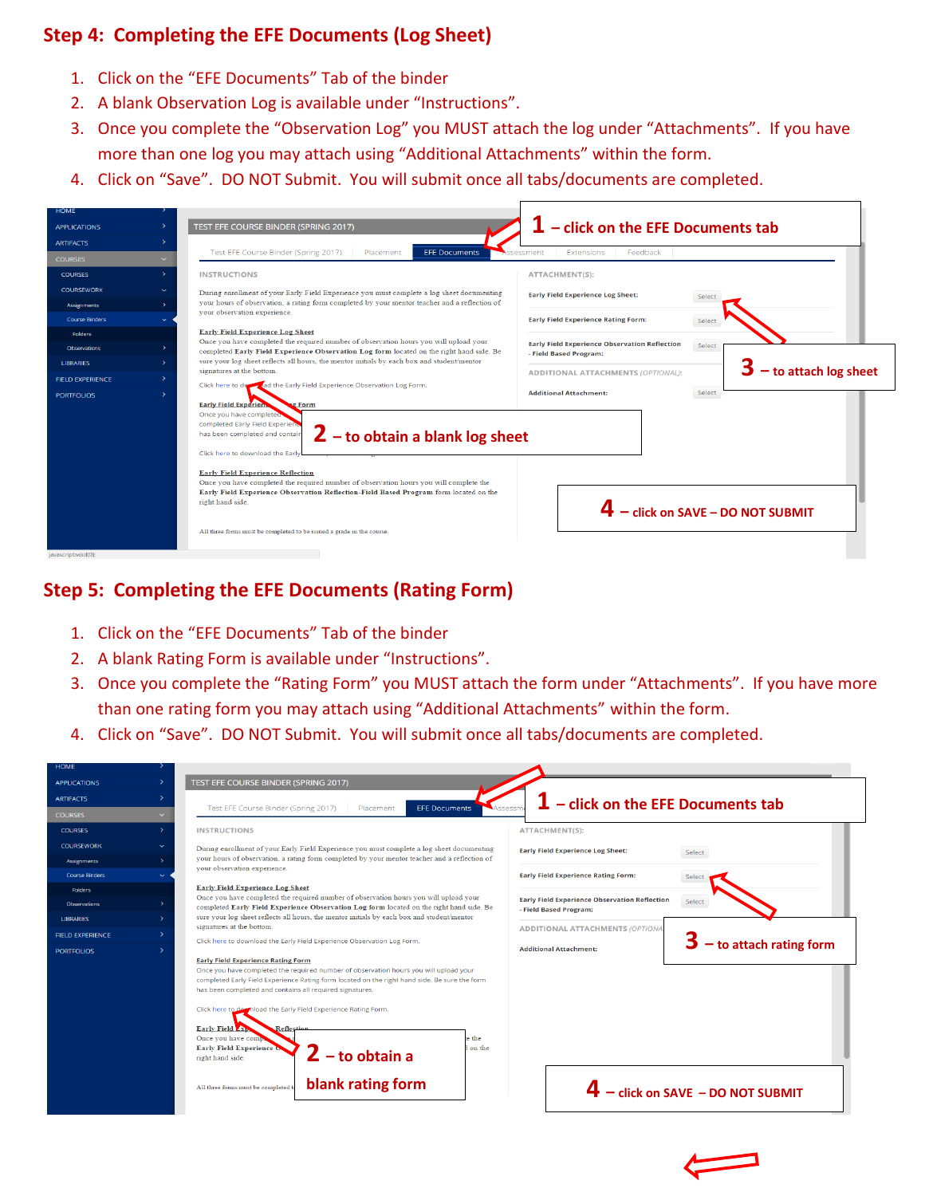# **Step 4: Completing the EFE Documents (Log Sheet)**

- 1. Click on the "EFE Documents" Tab of the binder
- 2. A blank Observation Log is available under "Instructions".
- 3. Once you complete the "Observation Log" you MUST attach the log under "Attachments". If you have more than one log you may attach using "Additional Attachments" within the form.
- 4. Click on "Save". DO NOT Submit. You will submit once all tabs/documents are completed.



### **Step 5: Completing the EFE Documents (Rating Form)**

- 1. Click on the "EFE Documents" Tab of the binder
- 2. A blank Rating Form is available under "Instructions".
- 3. Once you complete the "Rating Form" you MUST attach the form under "Attachments". If you have more than one rating form you may attach using "Additional Attachments" within the form.
- 4. Click on "Save". DO NOT Submit. You will submit once all tabs/documents are completed.

| <b>HOME</b>             |                                                                                                                                                                                                                                                                                                                                                                                                                                                                                                                                                                                                              |                                                                                          |
|-------------------------|--------------------------------------------------------------------------------------------------------------------------------------------------------------------------------------------------------------------------------------------------------------------------------------------------------------------------------------------------------------------------------------------------------------------------------------------------------------------------------------------------------------------------------------------------------------------------------------------------------------|------------------------------------------------------------------------------------------|
| <b>APPLICATIONS</b>     | $\rightarrow$<br>TEST EFE COURSE BINDER (SPRING 2017)                                                                                                                                                                                                                                                                                                                                                                                                                                                                                                                                                        |                                                                                          |
| <b>ARTIFACTS</b>        | $\rightarrow$                                                                                                                                                                                                                                                                                                                                                                                                                                                                                                                                                                                                | - click on the EFE Documents tab                                                         |
| <b>COURSES</b>          | Test EFE Course Binder (Spring 2017)<br><b>EFE Documents</b><br>Placement<br>$\checkmark$                                                                                                                                                                                                                                                                                                                                                                                                                                                                                                                    |                                                                                          |
| <b>COURSES</b>          | $\rightarrow$<br><b>INSTRUCTIONS</b>                                                                                                                                                                                                                                                                                                                                                                                                                                                                                                                                                                         | <b>ATTACHMENT(S):</b>                                                                    |
| <b>COURSEWORK</b>       | $\checkmark$<br>During enrollment of your Early Field Experience you must complete a log sheet documenting                                                                                                                                                                                                                                                                                                                                                                                                                                                                                                   | <b>Early Field Experience Log Sheet:</b><br>Select                                       |
| <b>Assignments</b>      | your hours of observation, a rating form completed by your mentor teacher and a reflection of<br>$\rightarrow$<br>your observation experience.                                                                                                                                                                                                                                                                                                                                                                                                                                                               |                                                                                          |
| <b>Course Binders</b>   |                                                                                                                                                                                                                                                                                                                                                                                                                                                                                                                                                                                                              | <b>Early Field Experience Rating Form:</b>                                               |
| <b>Folders</b>          | <b>Early Field Experience Log Sheet</b><br>Once you have completed the required number of observation hours you will upload your                                                                                                                                                                                                                                                                                                                                                                                                                                                                             |                                                                                          |
| <b>Observations</b>     | completed Early Field Experience Observation Log form located on the right hand side. Be                                                                                                                                                                                                                                                                                                                                                                                                                                                                                                                     | <b>Early Field Experience Observation Reflection</b><br>Select<br>- Field Based Program: |
| <b>LIBRARIES</b>        | sure your log sheet reflects all hours, the mentor initials by each box and student/mentor<br>$\mathbf{\bar{v}}$<br>signatures at the bottom.                                                                                                                                                                                                                                                                                                                                                                                                                                                                | <b>ADDITIONAL ATTACHMENTS (OPTIONA</b>                                                   |
| <b>FIELD EXPERIENCE</b> | $\rightarrow$<br>Click here to download the Early Field Experience Observation Log Form.                                                                                                                                                                                                                                                                                                                                                                                                                                                                                                                     | $-$ to attach rating form                                                                |
| <b>PORTFOLIOS</b>       | $\rightarrow$<br><b>Early Field Experience Rating Form</b><br>Once you have completed the required number of observation hours you will upload your<br>completed Early Field Experience Rating form located on the right hand side. Be sure the form<br>has been completed and contains all required signatures.<br>Click here to download the Early Field Experience Rating Form.<br><b>Early Field Ave</b><br>Reflection<br>Once you have compa<br>the<br><b>Early Field Experience OF</b><br>on the<br>$2$ – to obtain a<br>right hand side.<br>blank rating form<br>All three forms must be completed to | <b>Additional Attachment:</b><br>$4 -$ click on SAVE - DO NOT SUBMIT                     |